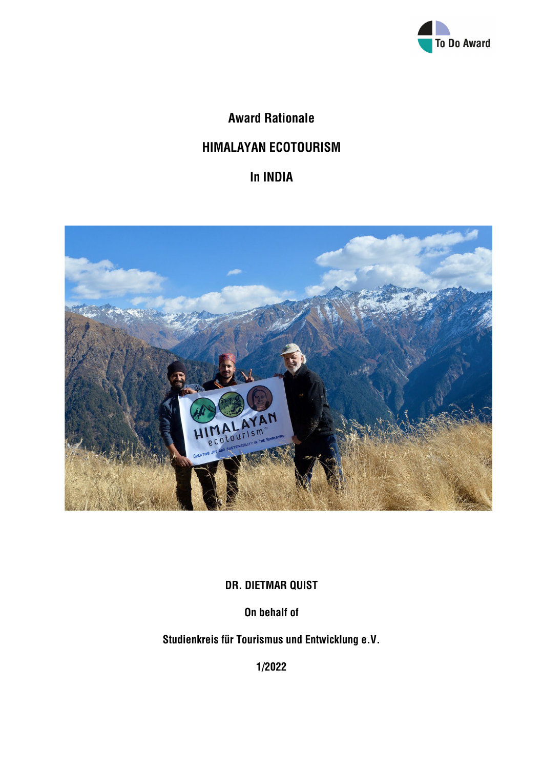

**Award Rationale**

# **HIMALAYAN ECOTOURISM**

**In INDIA**



**DR. DIETMAR QUIST**

**On behalf of**

**Studienkreis für Tourismus und Entwicklung e.V.**

**1/2022**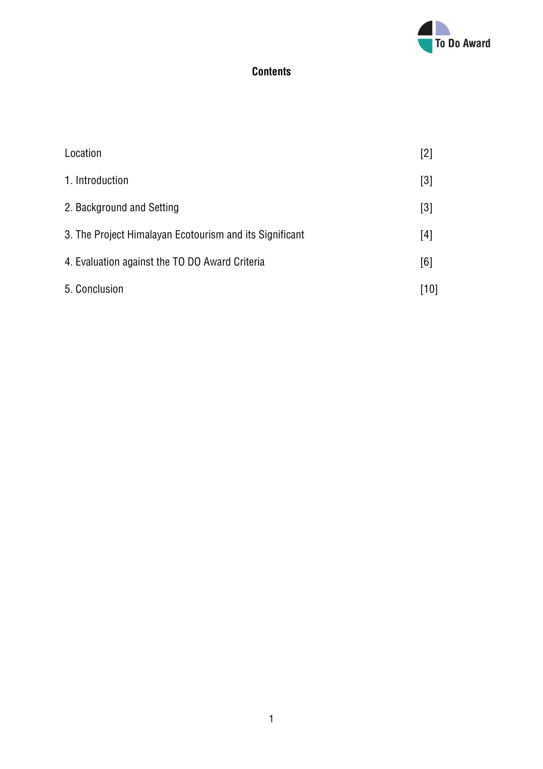

## **Contents**

| Location                                                | $[2]$ |
|---------------------------------------------------------|-------|
| 1. Introduction                                         | $[3]$ |
| 2. Background and Setting                               | $[3]$ |
| 3. The Project Himalayan Ecotourism and its Significant | $[4]$ |
| 4. Evaluation against the TO DO Award Criteria          | [6]   |
| 5. Conclusion                                           | [10]  |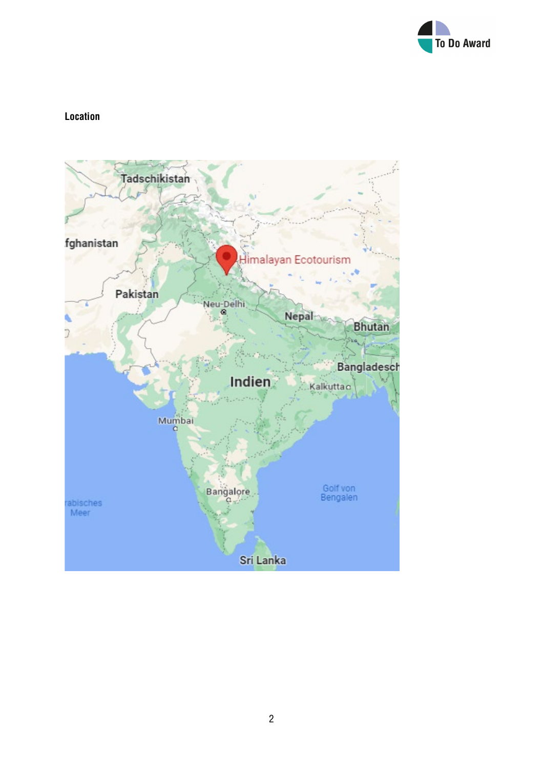

## **Location**

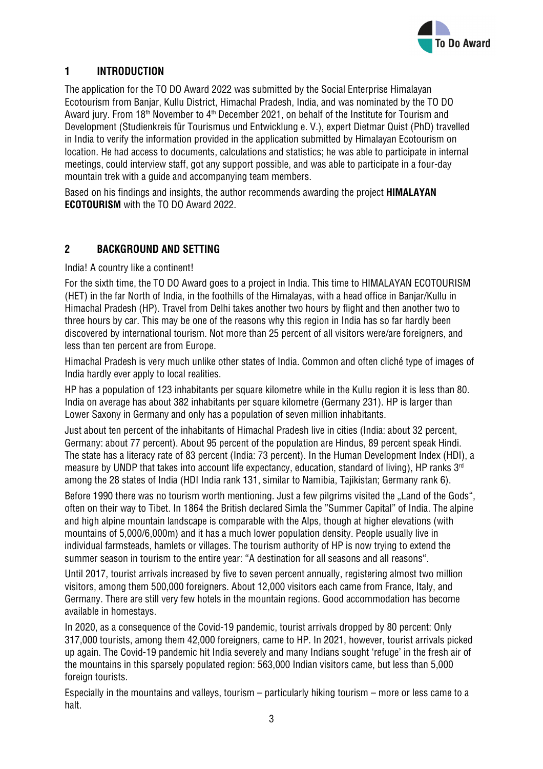

## **1 INTRODUCTION**

The application for the TO DO Award 2022 was submitted by the Social Enterprise Himalayan Ecotourism from Banjar, Kullu District, Himachal Pradesh, India, and was nominated by the TO DO Award jury. From 18<sup>th</sup> November to  $4<sup>th</sup>$  December 2021, on behalf of the Institute for Tourism and Development (Studienkreis für Tourismus und Entwicklung e. V.), expert Dietmar Quist (PhD) travelled in India to verify the information provided in the application submitted by Himalayan Ecotourism on location. He had access to documents, calculations and statistics; he was able to participate in internal meetings, could interview staff, got any support possible, and was able to participate in a four-day mountain trek with a guide and accompanying team members.

Based on his findings and insights, the author recommends awarding the project **HIMALAYAN ECOTOURISM** with the TO DO Award 2022.

## **2 BACKGROUND AND SETTING**

India! A country like a continent!

For the sixth time, the TO DO Award goes to a project in India. This time to HIMALAYAN ECOTOURISM (HET) in the far North of India, in the foothills of the Himalayas, with a head office in Banjar/Kullu in Himachal Pradesh (HP). Travel from Delhi takes another two hours by flight and then another two to three hours by car. This may be one of the reasons why this region in India has so far hardly been discovered by international tourism. Not more than 25 percent of all visitors were/are foreigners, and less than ten percent are from Europe.

Himachal Pradesh is very much unlike other states of India. Common and often cliché type of images of India hardly ever apply to local realities.

HP has a population of 123 inhabitants per square kilometre while in the Kullu region it is less than 80. India on average has about 382 inhabitants per square kilometre (Germany 231). HP is larger than Lower Saxony in Germany and only has a population of seven million inhabitants.

Just about ten percent of the inhabitants of Himachal Pradesh live in cities (India: about 32 percent, Germany: about 77 percent). About 95 percent of the population are Hindus, 89 percent speak Hindi. The state has a literacy rate of 83 percent (India: 73 percent). In the Human Development Index (HDI), a measure by UNDP that takes into account life expectancy, education, standard of living), HP ranks 3<sup>rd</sup> among the 28 states of India (HDI India rank 131, similar to Namibia, Tajikistan; Germany rank 6).

Before 1990 there was no tourism worth mentioning. Just a few pilgrims visited the "Land of the Gods", often on their way to Tibet. In 1864 the British declared Simla the "Summer Capital" of India. The alpine and high alpine mountain landscape is comparable with the Alps, though at higher elevations (with mountains of 5,000/6,000m) and it has a much lower population density. People usually live in individual farmsteads, hamlets or villages. The tourism authority of HP is now trying to extend the summer season in tourism to the entire year: "A destination for all seasons and all reasons".

Until 2017, tourist arrivals increased by five to seven percent annually, registering almost two million visitors, among them 500,000 foreigners. About 12,000 visitors each came from France, Italy, and Germany. There are still very few hotels in the mountain regions. Good accommodation has become available in homestays.

In 2020, as a consequence of the Covid-19 pandemic, tourist arrivals dropped by 80 percent: Only 317,000 tourists, among them 42,000 foreigners, came to HP. In 2021, however, tourist arrivals picked up again. The Covid-19 pandemic hit India severely and many Indians sought 'refuge' in the fresh air of the mountains in this sparsely populated region: 563,000 Indian visitors came, but less than 5,000 foreign tourists.

Especially in the mountains and valleys, tourism – particularly hiking tourism – more or less came to a halt.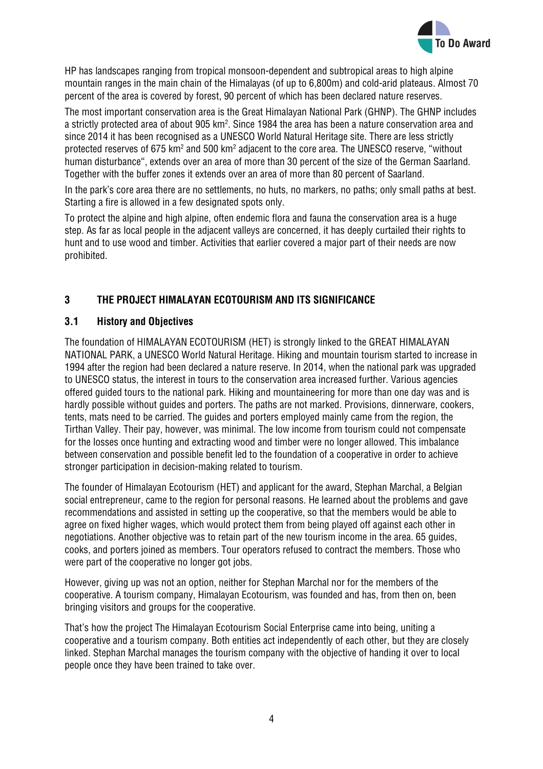

HP has landscapes ranging from tropical monsoon-dependent and subtropical areas to high alpine mountain ranges in the main chain of the Himalayas (of up to 6,800m) and cold-arid plateaus. Almost 70 percent of the area is covered by forest, 90 percent of which has been declared nature reserves.

The most important conservation area is the Great Himalayan National Park (GHNP). The GHNP includes a strictly protected area of about 905 km². Since 1984 the area has been a nature conservation area and since 2014 it has been recognised as a UNESCO World Natural Heritage site. There are less strictly protected reserves of 675 km<sup>2</sup> and 500 km<sup>2</sup> adjacent to the core area. The UNESCO reserve, "without human disturbance", extends over an area of more than 30 percent of the size of the German Saarland. Together with the buffer zones it extends over an area of more than 80 percent of Saarland.

In the park's core area there are no settlements, no huts, no markers, no paths; only small paths at best. Starting a fire is allowed in a few designated spots only.

To protect the alpine and high alpine, often endemic flora and fauna the conservation area is a huge step. As far as local people in the adjacent valleys are concerned, it has deeply curtailed their rights to hunt and to use wood and timber. Activities that earlier covered a major part of their needs are now prohibited.

## **3 THE PROJECT HIMALAYAN ECOTOURISM AND ITS SIGNIFICANCE**

#### **3.1 History and Objectives**

The foundation of HIMALAYAN ECOTOURISM (HET) is strongly linked to the GREAT HIMALAYAN NATIONAL PARK, a UNESCO World Natural Heritage. Hiking and mountain tourism started to increase in 1994 after the region had been declared a nature reserve. In 2014, when the national park was upgraded to UNESCO status, the interest in tours to the conservation area increased further. Various agencies offered guided tours to the national park. Hiking and mountaineering for more than one day was and is hardly possible without guides and porters. The paths are not marked. Provisions, dinnerware, cookers, tents, mats need to be carried. The guides and porters employed mainly came from the region, the Tirthan Valley. Their pay, however, was minimal. The low income from tourism could not compensate for the losses once hunting and extracting wood and timber were no longer allowed. This imbalance between conservation and possible benefit led to the foundation of a cooperative in order to achieve stronger participation in decision-making related to tourism.

The founder of Himalayan Ecotourism (HET) and applicant for the award, Stephan Marchal, a Belgian social entrepreneur, came to the region for personal reasons. He learned about the problems and gave recommendations and assisted in setting up the cooperative, so that the members would be able to agree on fixed higher wages, which would protect them from being played off against each other in negotiations. Another objective was to retain part of the new tourism income in the area. 65 guides, cooks, and porters joined as members. Tour operators refused to contract the members. Those who were part of the cooperative no longer got jobs.

However, giving up was not an option, neither for Stephan Marchal nor for the members of the cooperative. A tourism company, Himalayan Ecotourism, was founded and has, from then on, been bringing visitors and groups for the cooperative.

That's how the project The Himalayan Ecotourism Social Enterprise came into being, uniting a cooperative and a tourism company. Both entities act independently of each other, but they are closely linked. Stephan Marchal manages the tourism company with the objective of handing it over to local people once they have been trained to take over.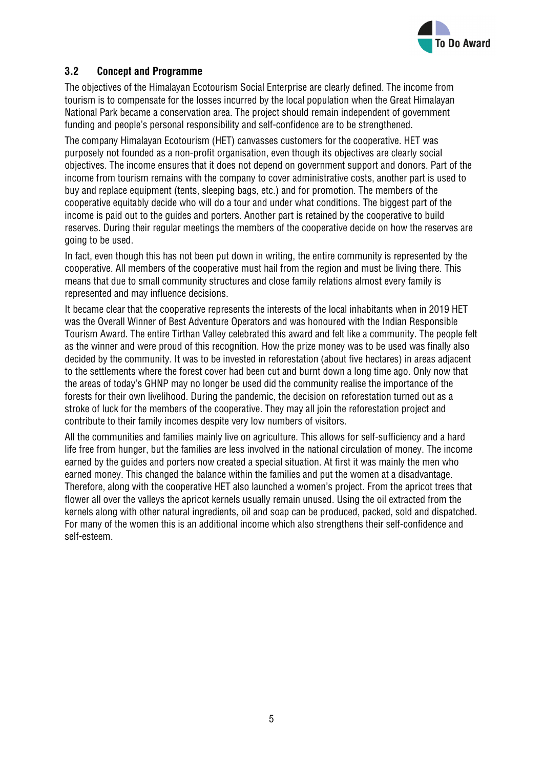

## **3.2 Concept and Programme**

The objectives of the Himalayan Ecotourism Social Enterprise are clearly defined. The income from tourism is to compensate for the losses incurred by the local population when the Great Himalayan National Park became a conservation area. The project should remain independent of government funding and people's personal responsibility and self-confidence are to be strengthened.

The company Himalayan Ecotourism (HET) canvasses customers for the cooperative. HET was purposely not founded as a non-profit organisation, even though its objectives are clearly social objectives. The income ensures that it does not depend on government support and donors. Part of the income from tourism remains with the company to cover administrative costs, another part is used to buy and replace equipment (tents, sleeping bags, etc.) and for promotion. The members of the cooperative equitably decide who will do a tour and under what conditions. The biggest part of the income is paid out to the guides and porters. Another part is retained by the cooperative to build reserves. During their regular meetings the members of the cooperative decide on how the reserves are going to be used.

In fact, even though this has not been put down in writing, the entire community is represented by the cooperative. All members of the cooperative must hail from the region and must be living there. This means that due to small community structures and close family relations almost every family is represented and may influence decisions.

It became clear that the cooperative represents the interests of the local inhabitants when in 2019 HET was the Overall Winner of Best Adventure Operators and was honoured with the Indian Responsible Tourism Award. The entire Tirthan Valley celebrated this award and felt like a community. The people felt as the winner and were proud of this recognition. How the prize money was to be used was finally also decided by the community. It was to be invested in reforestation (about five hectares) in areas adjacent to the settlements where the forest cover had been cut and burnt down a long time ago. Only now that the areas of today's GHNP may no longer be used did the community realise the importance of the forests for their own livelihood. During the pandemic, the decision on reforestation turned out as a stroke of luck for the members of the cooperative. They may all join the reforestation project and contribute to their family incomes despite very low numbers of visitors.

All the communities and families mainly live on agriculture. This allows for self-sufficiency and a hard life free from hunger, but the families are less involved in the national circulation of money. The income earned by the guides and porters now created a special situation. At first it was mainly the men who earned money. This changed the balance within the families and put the women at a disadvantage. Therefore, along with the cooperative HET also launched a women's project. From the apricot trees that flower all over the valleys the apricot kernels usually remain unused. Using the oil extracted from the kernels along with other natural ingredients, oil and soap can be produced, packed, sold and dispatched. For many of the women this is an additional income which also strengthens their self-confidence and self-esteem.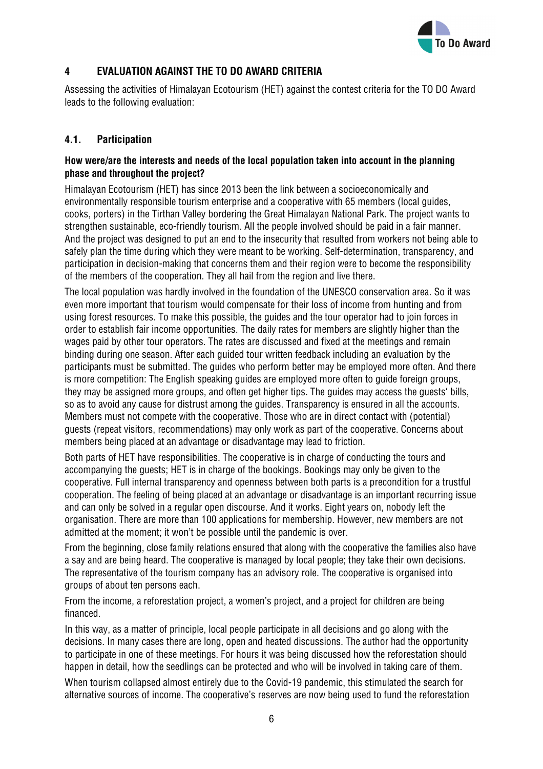

## **4 EVALUATION AGAINST THE TO DO AWARD CRITERIA**

Assessing the activities of Himalayan Ecotourism (HET) against the contest criteria for the TO DO Award leads to the following evaluation:

#### **4.1. Participation**

#### **How were/are the interests and needs of the local population taken into account in the planning phase and throughout the project?**

Himalayan Ecotourism (HET) has since 2013 been the link between a socioeconomically and environmentally responsible tourism enterprise and a cooperative with 65 members (local guides, cooks, porters) in the Tirthan Valley bordering the Great Himalayan National Park. The project wants to strengthen sustainable, eco-friendly tourism. All the people involved should be paid in a fair manner. And the project was designed to put an end to the insecurity that resulted from workers not being able to safely plan the time during which they were meant to be working. Self-determination, transparency, and participation in decision-making that concerns them and their region were to become the responsibility of the members of the cooperation. They all hail from the region and live there.

The local population was hardly involved in the foundation of the UNESCO conservation area. So it was even more important that tourism would compensate for their loss of income from hunting and from using forest resources. To make this possible, the guides and the tour operator had to join forces in order to establish fair income opportunities. The daily rates for members are slightly higher than the wages paid by other tour operators. The rates are discussed and fixed at the meetings and remain binding during one season. After each guided tour written feedback including an evaluation by the participants must be submitted. The guides who perform better may be employed more often. And there is more competition: The English speaking guides are employed more often to guide foreign groups, they may be assigned more groups, and often get higher tips. The guides may access the guests' bills, so as to avoid any cause for distrust among the guides. Transparency is ensured in all the accounts. Members must not compete with the cooperative. Those who are in direct contact with (potential) guests (repeat visitors, recommendations) may only work as part of the cooperative. Concerns about members being placed at an advantage or disadvantage may lead to friction.

Both parts of HET have responsibilities. The cooperative is in charge of conducting the tours and accompanying the guests; HET is in charge of the bookings. Bookings may only be given to the cooperative. Full internal transparency and openness between both parts is a precondition for a trustful cooperation. The feeling of being placed at an advantage or disadvantage is an important recurring issue and can only be solved in a regular open discourse. And it works. Eight years on, nobody left the organisation. There are more than 100 applications for membership. However, new members are not admitted at the moment; it won't be possible until the pandemic is over.

From the beginning, close family relations ensured that along with the cooperative the families also have a say and are being heard. The cooperative is managed by local people; they take their own decisions. The representative of the tourism company has an advisory role. The cooperative is organised into groups of about ten persons each.

From the income, a reforestation project, a women's project, and a project for children are being financed.

In this way, as a matter of principle, local people participate in all decisions and go along with the decisions. In many cases there are long, open and heated discussions. The author had the opportunity to participate in one of these meetings. For hours it was being discussed how the reforestation should happen in detail, how the seedlings can be protected and who will be involved in taking care of them.

When tourism collapsed almost entirely due to the Covid-19 pandemic, this stimulated the search for alternative sources of income. The cooperative's reserves are now being used to fund the reforestation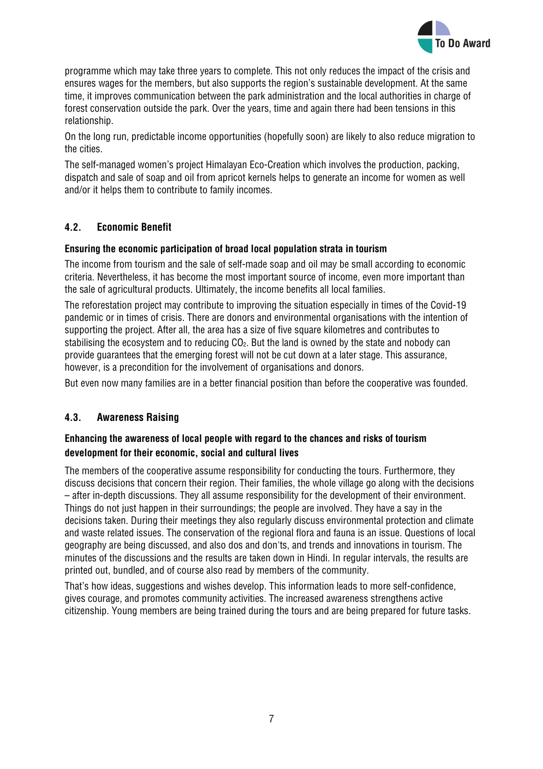

programme which may take three years to complete. This not only reduces the impact of the crisis and ensures wages for the members, but also supports the region's sustainable development. At the same time, it improves communication between the park administration and the local authorities in charge of forest conservation outside the park. Over the years, time and again there had been tensions in this relationship.

On the long run, predictable income opportunities (hopefully soon) are likely to also reduce migration to the cities.

The self-managed women's project Himalayan Eco-Creation which involves the production, packing, dispatch and sale of soap and oil from apricot kernels helps to generate an income for women as well and/or it helps them to contribute to family incomes.

## **4.2. Economic Benefit**

#### **Ensuring the economic participation of broad local population strata in tourism**

The income from tourism and the sale of self-made soap and oil may be small according to economic criteria. Nevertheless, it has become the most important source of income, even more important than the sale of agricultural products. Ultimately, the income benefits all local families.

The reforestation project may contribute to improving the situation especially in times of the Covid-19 pandemic or in times of crisis. There are donors and environmental organisations with the intention of supporting the project. After all, the area has a size of five square kilometres and contributes to stabilising the ecosystem and to reducing  $CO<sub>2</sub>$ . But the land is owned by the state and nobody can provide guarantees that the emerging forest will not be cut down at a later stage. This assurance, however, is a precondition for the involvement of organisations and donors.

But even now many families are in a better financial position than before the cooperative was founded.

#### **4.3. Awareness Raising**

#### **Enhancing the awareness of local people with regard to the chances and risks of tourism development for their economic, social and cultural lives**

The members of the cooperative assume responsibility for conducting the tours. Furthermore, they discuss decisions that concern their region. Their families, the whole village go along with the decisions – after in-depth discussions. They all assume responsibility for the development of their environment. Things do not just happen in their surroundings; the people are involved. They have a say in the decisions taken. During their meetings they also regularly discuss environmental protection and climate and waste related issues. The conservation of the regional flora and fauna is an issue. Questions of local geography are being discussed, and also dos and don'ts, and trends and innovations in tourism. The minutes of the discussions and the results are taken down in Hindi. In regular intervals, the results are printed out, bundled, and of course also read by members of the community.

That's how ideas, suggestions and wishes develop. This information leads to more self-confidence, gives courage, and promotes community activities. The increased awareness strengthens active citizenship. Young members are being trained during the tours and are being prepared for future tasks.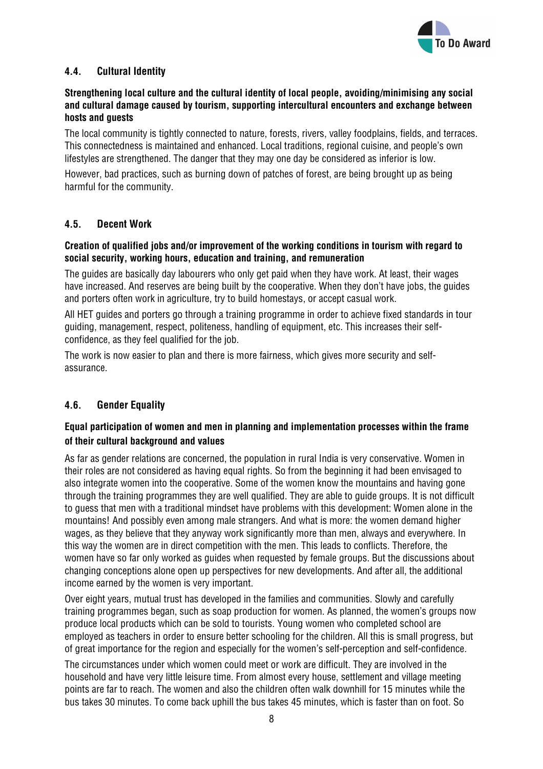

## **4.4. Cultural Identity**

#### **Strengthening local culture and the cultural identity of local people, avoiding/minimising any social and cultural damage caused by tourism, supporting intercultural encounters and exchange between hosts and guests**

The local community is tightly connected to nature, forests, rivers, valley foodplains, fields, and terraces. This connectedness is maintained and enhanced. Local traditions, regional cuisine, and people's own lifestyles are strengthened. The danger that they may one day be considered as inferior is low.

However, bad practices, such as burning down of patches of forest, are being brought up as being harmful for the community.

#### **4.5. Decent Work**

#### **Creation of qualified jobs and/or improvement of the working conditions in tourism with regard to social security, working hours, education and training, and remuneration**

The guides are basically day labourers who only get paid when they have work. At least, their wages have increased. And reserves are being built by the cooperative. When they don't have jobs, the guides and porters often work in agriculture, try to build homestays, or accept casual work.

All HET guides and porters go through a training programme in order to achieve fixed standards in tour guiding, management, respect, politeness, handling of equipment, etc. This increases their selfconfidence, as they feel qualified for the job.

The work is now easier to plan and there is more fairness, which gives more security and selfassurance.

#### **4.6. Gender Equality**

## **Equal participation of women and men in planning and implementation processes within the frame of their cultural background and values**

As far as gender relations are concerned, the population in rural India is very conservative. Women in their roles are not considered as having equal rights. So from the beginning it had been envisaged to also integrate women into the cooperative. Some of the women know the mountains and having gone through the training programmes they are well qualified. They are able to guide groups. It is not difficult to guess that men with a traditional mindset have problems with this development: Women alone in the mountains! And possibly even among male strangers. And what is more: the women demand higher wages, as they believe that they anyway work significantly more than men, always and everywhere. In this way the women are in direct competition with the men. This leads to conflicts. Therefore, the women have so far only worked as guides when requested by female groups. But the discussions about changing conceptions alone open up perspectives for new developments. And after all, the additional income earned by the women is very important.

Over eight years, mutual trust has developed in the families and communities. Slowly and carefully training programmes began, such as soap production for women. As planned, the women's groups now produce local products which can be sold to tourists. Young women who completed school are employed as teachers in order to ensure better schooling for the children. All this is small progress, but of great importance for the region and especially for the women's self-perception and self-confidence.

The circumstances under which women could meet or work are difficult. They are involved in the household and have very little leisure time. From almost every house, settlement and village meeting points are far to reach. The women and also the children often walk downhill for 15 minutes while the bus takes 30 minutes. To come back uphill the bus takes 45 minutes, which is faster than on foot. So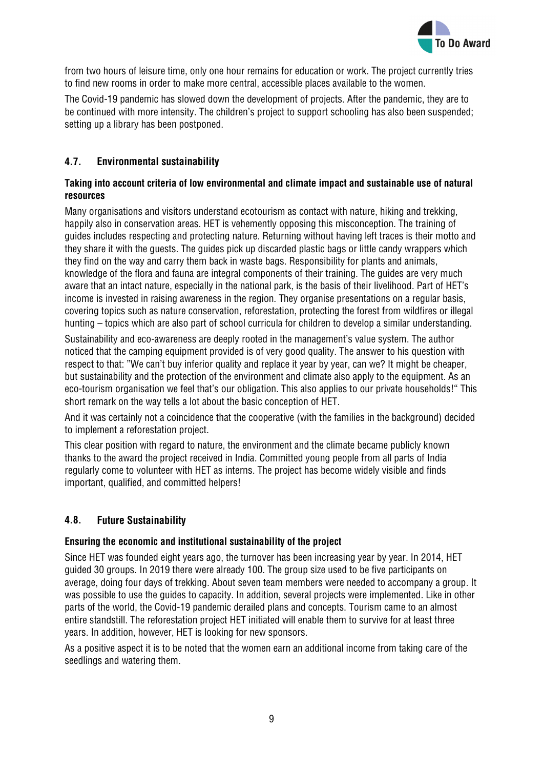

from two hours of leisure time, only one hour remains for education or work. The project currently tries to find new rooms in order to make more central, accessible places available to the women.

The Covid-19 pandemic has slowed down the development of projects. After the pandemic, they are to be continued with more intensity. The children's project to support schooling has also been suspended; setting up a library has been postponed.

## **4.7. Environmental sustainability**

#### **Taking into account criteria of low environmental and climate impact and sustainable use of natural resources**

Many organisations and visitors understand ecotourism as contact with nature, hiking and trekking, happily also in conservation areas. HET is vehemently opposing this misconception. The training of guides includes respecting and protecting nature. Returning without having left traces is their motto and they share it with the guests. The guides pick up discarded plastic bags or little candy wrappers which they find on the way and carry them back in waste bags. Responsibility for plants and animals, knowledge of the flora and fauna are integral components of their training. The guides are very much aware that an intact nature, especially in the national park, is the basis of their livelihood. Part of HET's income is invested in raising awareness in the region. They organise presentations on a regular basis, covering topics such as nature conservation, reforestation, protecting the forest from wildfires or illegal hunting – topics which are also part of school curricula for children to develop a similar understanding.

Sustainability and eco-awareness are deeply rooted in the management's value system. The author noticed that the camping equipment provided is of very good quality. The answer to his question with respect to that: "We can't buy inferior quality and replace it year by year, can we? It might be cheaper, but sustainability and the protection of the environment and climate also apply to the equipment. As an eco-tourism organisation we feel that's our obligation. This also applies to our private households!" This short remark on the way tells a lot about the basic conception of HET.

And it was certainly not a coincidence that the cooperative (with the families in the background) decided to implement a reforestation project.

This clear position with regard to nature, the environment and the climate became publicly known thanks to the award the project received in India. Committed young people from all parts of India regularly come to volunteer with HET as interns. The project has become widely visible and finds important, qualified, and committed helpers!

#### **4.8. Future Sustainability**

#### **Ensuring the economic and institutional sustainability of the project**

Since HET was founded eight years ago, the turnover has been increasing year by year. In 2014, HET guided 30 groups. In 2019 there were already 100. The group size used to be five participants on average, doing four days of trekking. About seven team members were needed to accompany a group. It was possible to use the guides to capacity. In addition, several projects were implemented. Like in other parts of the world, the Covid-19 pandemic derailed plans and concepts. Tourism came to an almost entire standstill. The reforestation project HET initiated will enable them to survive for at least three years. In addition, however, HET is looking for new sponsors.

As a positive aspect it is to be noted that the women earn an additional income from taking care of the seedlings and watering them.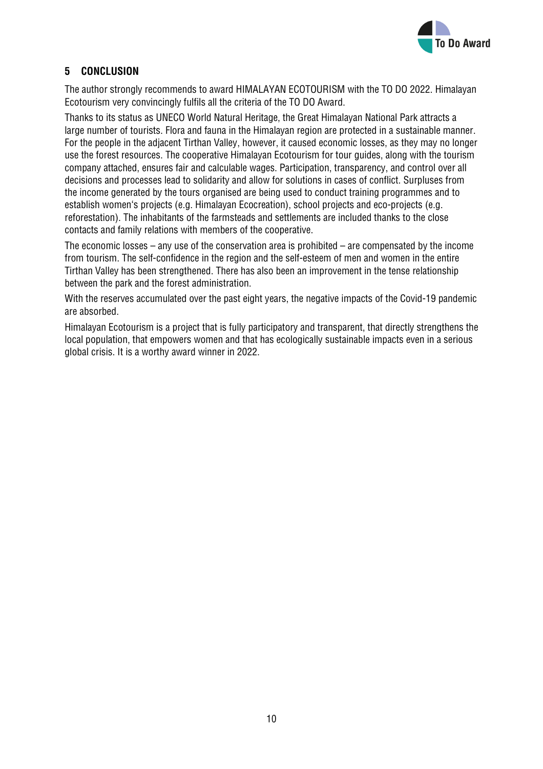

## **5 CONCLUSION**

The author strongly recommends to award HIMALAYAN ECOTOURISM with the TO DO 2022. Himalayan Ecotourism very convincingly fulfils all the criteria of the TO DO Award.

Thanks to its status as UNECO World Natural Heritage, the Great Himalayan National Park attracts a large number of tourists. Flora and fauna in the Himalayan region are protected in a sustainable manner. For the people in the adjacent Tirthan Valley, however, it caused economic losses, as they may no longer use the forest resources. The cooperative Himalayan Ecotourism for tour guides, along with the tourism company attached, ensures fair and calculable wages. Participation, transparency, and control over all decisions and processes lead to solidarity and allow for solutions in cases of conflict. Surpluses from the income generated by the tours organised are being used to conduct training programmes and to establish women's projects (e.g. Himalayan Ecocreation), school projects and eco-projects (e.g. reforestation). The inhabitants of the farmsteads and settlements are included thanks to the close contacts and family relations with members of the cooperative.

The economic losses – any use of the conservation area is prohibited – are compensated by the income from tourism. The self-confidence in the region and the self-esteem of men and women in the entire Tirthan Valley has been strengthened. There has also been an improvement in the tense relationship between the park and the forest administration.

With the reserves accumulated over the past eight years, the negative impacts of the Covid-19 pandemic are absorbed.

Himalayan Ecotourism is a project that is fully participatory and transparent, that directly strengthens the local population, that empowers women and that has ecologically sustainable impacts even in a serious global crisis. It is a worthy award winner in 2022.